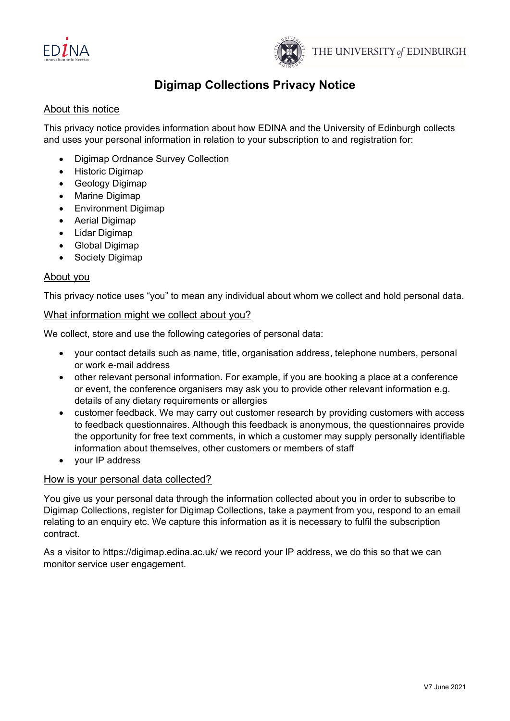



# **Digimap Collections Privacy Notice**

## About this notice

This privacy notice provides information about how EDINA and the University of Edinburgh collects and uses your personal information in relation to your subscription to and registration for:

- Digimap Ordnance Survey Collection
- Historic Digimap
- Geology Digimap
- Marine Digimap
- Environment Digimap
- Aerial Digimap
- Lidar Digimap
- Global Digimap
- **Society Digimap**

### About you

This privacy notice uses "you" to mean any individual about whom we collect and hold personal data.

### What information might we collect about you?

We collect, store and use the following categories of personal data:

- your contact details such as name, title, organisation address, telephone numbers, personal or work e-mail address
- other relevant personal information. For example, if you are booking a place at a conference or event, the conference organisers may ask you to provide other relevant information e.g. details of any dietary requirements or allergies
- customer feedback. We may carry out customer research by providing customers with access to feedback questionnaires. Although this feedback is anonymous, the questionnaires provide the opportunity for free text comments, in which a customer may supply personally identifiable information about themselves, other customers or members of staff
- your IP address

#### How is your personal data collected?

You give us your personal data through the information collected about you in order to subscribe to Digimap Collections, register for Digimap Collections, take a payment from you, respond to an email relating to an enquiry etc. We capture this information as it is necessary to fulfil the subscription contract.

As a visitor to https://digimap.edina.ac.uk/ we record your IP address, we do this so that we can monitor service user engagement.